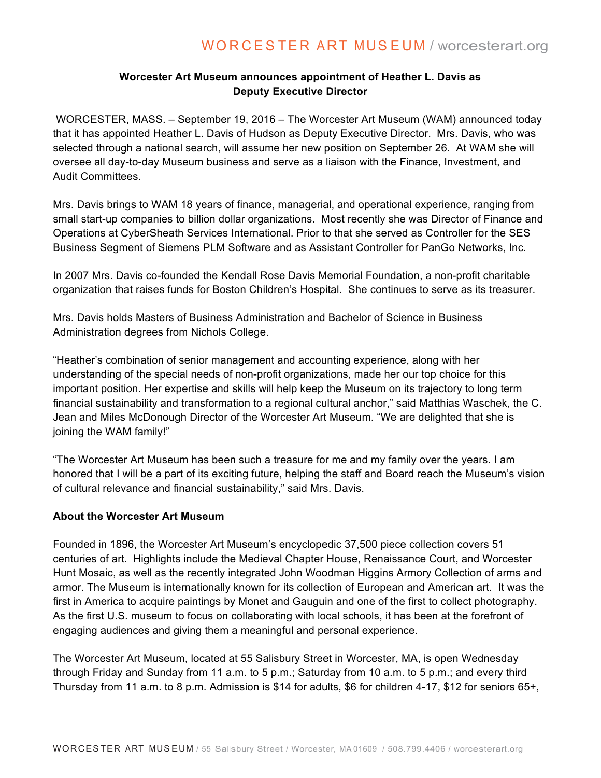## **Worcester Art Museum announces appointment of Heather L. Davis as Deputy Executive Director**

WORCESTER, MASS. – September 19, 2016 – The Worcester Art Museum (WAM) announced today that it has appointed Heather L. Davis of Hudson as Deputy Executive Director. Mrs. Davis, who was selected through a national search, will assume her new position on September 26. At WAM she will oversee all day-to-day Museum business and serve as a liaison with the Finance, Investment, and Audit Committees.

Mrs. Davis brings to WAM 18 years of finance, managerial, and operational experience, ranging from small start-up companies to billion dollar organizations. Most recently she was Director of Finance and Operations at CyberSheath Services International. Prior to that she served as Controller for the SES Business Segment of Siemens PLM Software and as Assistant Controller for PanGo Networks, Inc.

In 2007 Mrs. Davis co-founded the Kendall Rose Davis Memorial Foundation, a non-profit charitable organization that raises funds for Boston Children's Hospital. She continues to serve as its treasurer.

Mrs. Davis holds Masters of Business Administration and Bachelor of Science in Business Administration degrees from Nichols College.

"Heather's combination of senior management and accounting experience, along with her understanding of the special needs of non-profit organizations, made her our top choice for this important position. Her expertise and skills will help keep the Museum on its trajectory to long term financial sustainability and transformation to a regional cultural anchor," said Matthias Waschek, the C. Jean and Miles McDonough Director of the Worcester Art Museum. "We are delighted that she is joining the WAM family!"

"The Worcester Art Museum has been such a treasure for me and my family over the years. I am honored that I will be a part of its exciting future, helping the staff and Board reach the Museum's vision of cultural relevance and financial sustainability," said Mrs. Davis.

## **About the Worcester Art Museum**

Founded in 1896, the Worcester Art Museum's encyclopedic 37,500 piece collection covers 51 centuries of art. Highlights include the Medieval Chapter House, Renaissance Court, and Worcester Hunt Mosaic, as well as the recently integrated John Woodman Higgins Armory Collection of arms and armor. The Museum is internationally known for its collection of European and American art. It was the first in America to acquire paintings by Monet and Gauguin and one of the first to collect photography. As the first U.S. museum to focus on collaborating with local schools, it has been at the forefront of engaging audiences and giving them a meaningful and personal experience.

The Worcester Art Museum, located at 55 Salisbury Street in Worcester, MA, is open Wednesday through Friday and Sunday from 11 a.m. to 5 p.m.; Saturday from 10 a.m. to 5 p.m.; and every third Thursday from 11 a.m. to 8 p.m. Admission is \$14 for adults, \$6 for children 4-17, \$12 for seniors 65+,